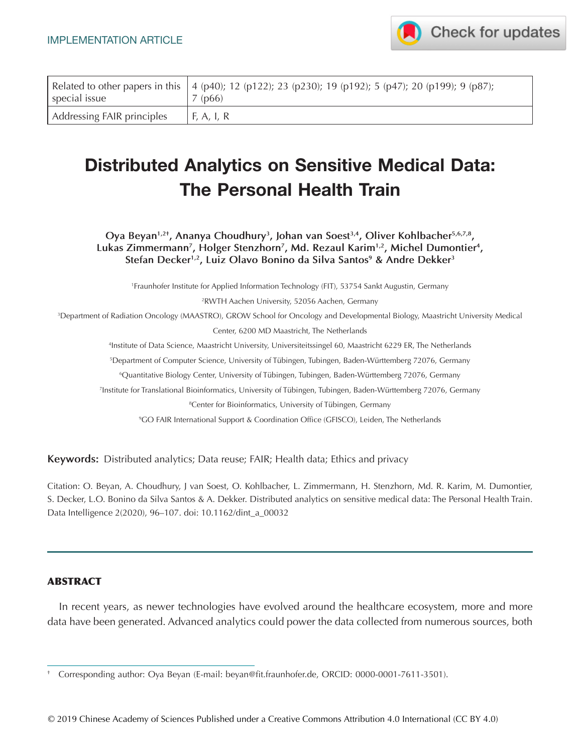

| special issue              | Related to other papers in this   4 (p40); 12 (p122); 23 (p230); 19 (p192); 5 (p47); 20 (p199); 9 (p87);<br>  $7(p66)$ |
|----------------------------|------------------------------------------------------------------------------------------------------------------------|
| Addressing FAIR principles | F, A, I, R                                                                                                             |

# **Distributed Analytics on Sensitive Medical Data: The Personal Health Train**

Oya Beyan<sup>1,2†</sup>, Ananya Choudhury<sup>3</sup>, Johan van Soest<sup>3,4</sup>, Oliver Kohlbacher<sup>5,6,7,8</sup>, **Lukas Zimmermann7, Holger Stenzhorn7, Md. Rezaul Karim1,2, Michel Dumontier4,**  Stefan Decker<sup>1,2</sup>, Luiz Olavo Bonino da Silva Santos<sup>9</sup> & Andre Dekker<sup>3</sup>

1 Fraunhofer Institute for Applied Information Technology (FIT), 53754 Sankt Augustin, Germany

2 RWTH Aachen University, 52056 Aachen, Germany

3 Department of Radiation Oncology (MAASTRO), GROW School for Oncology and Developmental Biology, Maastricht University Medical

Center, 6200 MD Maastricht, The Netherlands

4 Institute of Data Science, Maastricht University, Universiteitssingel 60, Maastricht 6229 ER, The Netherlands

5 Department of Computer Science, University of Tübingen, Tubingen, Baden-Württemberg 72076, Germany

6 Quantitative Biology Center, University of Tübingen, Tubingen, Baden-Württemberg 72076, Germany

7 Institute for Translational Bioinformatics, University of Tübingen, Tubingen, Baden-Württemberg 72076, Germany

8 Center for Bioinformatics, University of Tübingen, Germany

9 GO FAIR International Support & Coordination Office (GFISCO), Leiden, The Netherlands

**Keywords:** Distributed analytics; Data reuse; FAIR; Health data; Ethics and privacy

Citation: O. Beyan, A. Choudhury, J van Soest, O. Kohlbacher, L. Zimmermann, H. Stenzhorn, Md. R. Karim, M. Dumontier, S. Decker, L.O. Bonino da Silva Santos & A. Dekker. Distributed analytics on sensitive medical data: The Personal Health Train. Data Intelligence 2(2020), 96–107. doi: 10.1162/dint\_a\_00032

#### ABSTRACT

In recent years, as newer technologies have evolved around the healthcare ecosystem, more and more data have been generated. Advanced analytics could power the data collected from numerous sources, both

<sup>†</sup> Corresponding author: Oya Beyan (E-mail: beyan@fit.fraunhofer.de, ORCID: 0000-0001-7611-3501).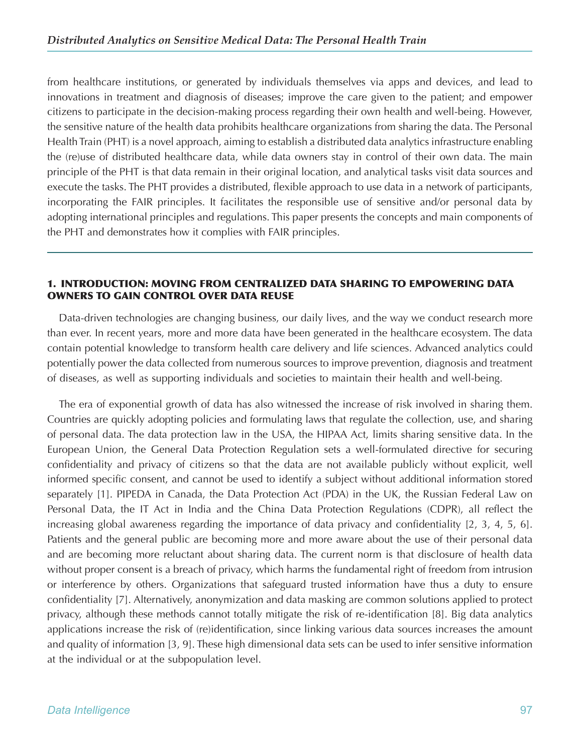from healthcare institutions, or generated by individuals themselves via apps and devices, and lead to innovations in treatment and diagnosis of diseases; improve the care given to the patient; and empower citizens to participate in the decision-making process regarding their own health and well-being. However, the sensitive nature of the health data prohibits healthcare organizations from sharing the data. The Personal Health Train (PHT) is a novel approach, aiming to establish a distributed data analytics infrastructure enabling the (re)use of distributed healthcare data, while data owners stay in control of their own data. The main principle of the PHT is that data remain in their original location, and analytical tasks visit data sources and execute the tasks. The PHT provides a distributed, flexible approach to use data in a network of participants, incorporating the FAIR principles. It facilitates the responsible use of sensitive and/or personal data by adopting international principles and regulations. This paper presents the concepts and main components of the PHT and demonstrates how it complies with FAIR principles.

#### 1. INTRODUCTION: MOVING FROM CENTRALIZED DATA SHARING TO EMPOWERING DATA OWNERS TO GAIN CONTROL OVER DATA REUSE

Data-driven technologies are changing business, our daily lives, and the way we conduct research more than ever. In recent years, more and more data have been generated in the healthcare ecosystem. The data contain potential knowledge to transform health care delivery and life sciences. Advanced analytics could potentially power the data collected from numerous sources to improve prevention, diagnosis and treatment of diseases, as well as supporting individuals and societies to maintain their health and well-being.

The era of exponential growth of data has also witnessed the increase of risk involved in sharing them. Countries are quickly adopting policies and formulating laws that regulate the collection, use, and sharing of personal data. The data protection law in the USA, the HIPAA Act, limits sharing sensitive data. In the European Union, the General Data Protection Regulation sets a well-formulated directive for securing confidentiality and privacy of citizens so that the data are not available publicly without explicit, well informed specific consent, and cannot be used to identify a subject without additional information stored separately [1]. PIPEDA in Canada, the Data Protection Act (PDA) in the UK, the Russian Federal Law on Personal Data, the IT Act in India and the China Data Protection Regulations (CDPR), all reflect the increasing global awareness regarding the importance of data privacy and confidentiality [2, 3, 4, 5, 6]. Patients and the general public are becoming more and more aware about the use of their personal data and are becoming more reluctant about sharing data. The current norm is that disclosure of health data without proper consent is a breach of privacy, which harms the fundamental right of freedom from intrusion or interference by others. Organizations that safeguard trusted information have thus a duty to ensure confidentiality [7]. Alternatively, anonymization and data masking are common solutions applied to protect privacy, although these methods cannot totally mitigate the risk of re-identification [8]. Big data analytics applications increase the risk of (re)identification, since linking various data sources increases the amount and quality of information [3, 9]. These high dimensional data sets can be used to infer sensitive information at the individual or at the subpopulation level.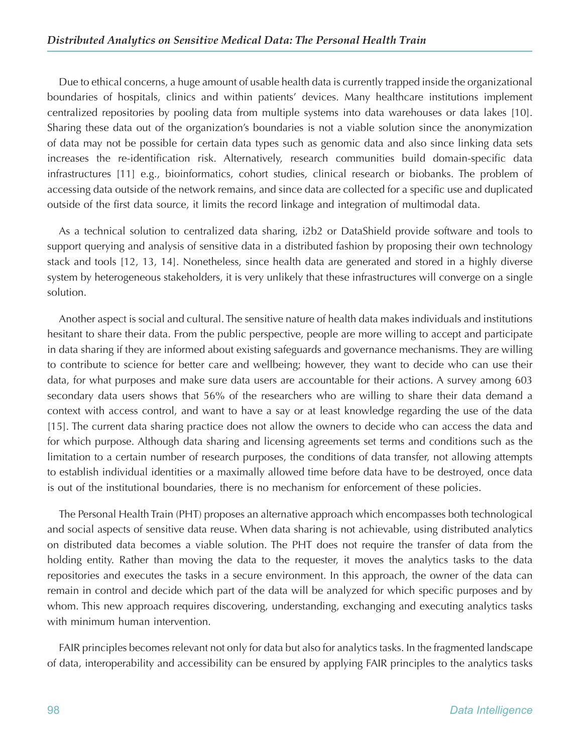Due to ethical concerns, a huge amount of usable health data is currently trapped inside the organizational boundaries of hospitals, clinics and within patients' devices. Many healthcare institutions implement centralized repositories by pooling data from multiple systems into data warehouses or data lakes [10]. Sharing these data out of the organization's boundaries is not a viable solution since the anonymization of data may not be possible for certain data types such as genomic data and also since linking data sets increases the re-identification risk. Alternatively, research communities build domain-specific data infrastructures [11] e.g., bioinformatics, cohort studies, clinical research or biobanks. The problem of accessing data outside of the network remains, and since data are collected for a specific use and duplicated outside of the first data source, it limits the record linkage and integration of multimodal data.

As a technical solution to centralized data sharing, i2b2 or DataShield provide software and tools to support querying and analysis of sensitive data in a distributed fashion by proposing their own technology stack and tools [12, 13, 14]. Nonetheless, since health data are generated and stored in a highly diverse system by heterogeneous stakeholders, it is very unlikely that these infrastructures will converge on a single solution.

Another aspect is social and cultural. The sensitive nature of health data makes individuals and institutions hesitant to share their data. From the public perspective, people are more willing to accept and participate in data sharing if they are informed about existing safeguards and governance mechanisms. They are willing to contribute to science for better care and wellbeing; however, they want to decide who can use their data, for what purposes and make sure data users are accountable for their actions. A survey among 603 secondary data users shows that 56% of the researchers who are willing to share their data demand a context with access control, and want to have a say or at least knowledge regarding the use of the data [15]. The current data sharing practice does not allow the owners to decide who can access the data and for which purpose. Although data sharing and licensing agreements set terms and conditions such as the limitation to a certain number of research purposes, the conditions of data transfer, not allowing attempts to establish individual identities or a maximally allowed time before data have to be destroyed, once data is out of the institutional boundaries, there is no mechanism for enforcement of these policies.

The Personal Health Train (PHT) proposes an alternative approach which encompasses both technological and social aspects of sensitive data reuse. When data sharing is not achievable, using distributed analytics on distributed data becomes a viable solution. The PHT does not require the transfer of data from the holding entity. Rather than moving the data to the requester, it moves the analytics tasks to the data repositories and executes the tasks in a secure environment. In this approach, the owner of the data can remain in control and decide which part of the data will be analyzed for which specific purposes and by whom. This new approach requires discovering, understanding, exchanging and executing analytics tasks with minimum human intervention

FAIR principles becomes relevant not only for data but also for analytics tasks. In the fragmented landscape of data, interoperability and accessibility can be ensured by applying FAIR principles to the analytics tasks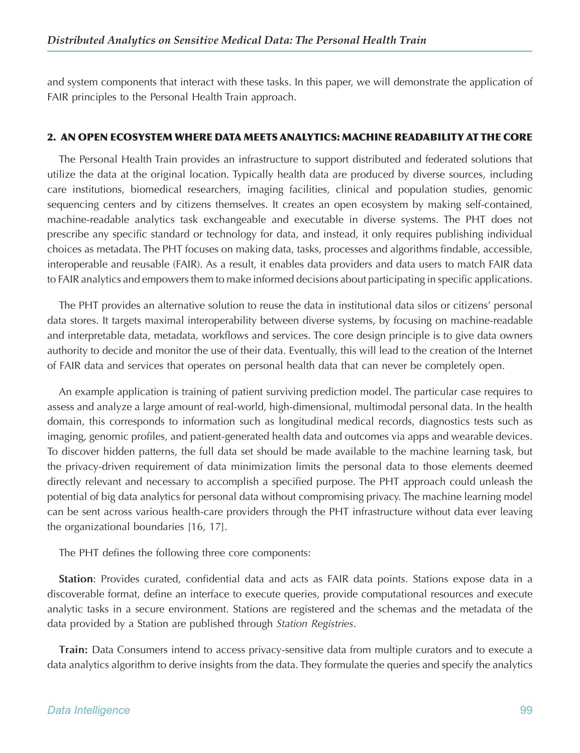and system components that interact with these tasks. In this paper, we will demonstrate the application of FAIR principles to the Personal Health Train approach.

### 2. AN OPEN ECOSYSTEM WHERE DATA MEETS ANALYTICS: MACHINE READABILITY AT THE CORE

The Personal Health Train provides an infrastructure to support distributed and federated solutions that utilize the data at the original location. Typically health data are produced by diverse sources, including care institutions, biomedical researchers, imaging facilities, clinical and population studies, genomic sequencing centers and by citizens themselves. It creates an open ecosystem by making self-contained, machine-readable analytics task exchangeable and executable in diverse systems. The PHT does not prescribe any specific standard or technology for data, and instead, it only requires publishing individual choices as metadata. The PHT focuses on making data, tasks, processes and algorithms findable, accessible, interoperable and reusable (FAIR). As a result, it enables data providers and data users to match FAIR data to FAIR analytics and empowers them to make informed decisions about participating in specific applications.

The PHT provides an alternative solution to reuse the data in institutional data silos or citizens' personal data stores. It targets maximal interoperability between diverse systems, by focusing on machine-readable and interpretable data, metadata, workflows and services. The core design principle is to give data owners authority to decide and monitor the use of their data. Eventually, this will lead to the creation of the Internet of FAIR data and services that operates on personal health data that can never be completely open.

An example application is training of patient surviving prediction model. The particular case requires to assess and analyze a large amount of real-world, high-dimensional, multimodal personal data. In the health domain, this corresponds to information such as longitudinal medical records, diagnostics tests such as imaging, genomic profiles, and patient-generated health data and outcomes via apps and wearable devices. To discover hidden patterns, the full data set should be made available to the machine learning task, but the privacy-driven requirement of data minimization limits the personal data to those elements deemed directly relevant and necessary to accomplish a specified purpose. The PHT approach could unleash the potential of big data analytics for personal data without compromising privacy. The machine learning model can be sent across various health-care providers through the PHT infrastructure without data ever leaving the organizational boundaries [16, 17].

The PHT defines the following three core components:

**Station**: Provides curated, confidential data and acts as FAIR data points. Stations expose data in a discoverable format, define an interface to execute queries, provide computational resources and execute analytic tasks in a secure environment. Stations are registered and the schemas and the metadata of the data provided by a Station are published through *Station Registries*.

**Train:** Data Consumers intend to access privacy-sensitive data from multiple curators and to execute a data analytics algorithm to derive insights from the data. They formulate the queries and specify the analytics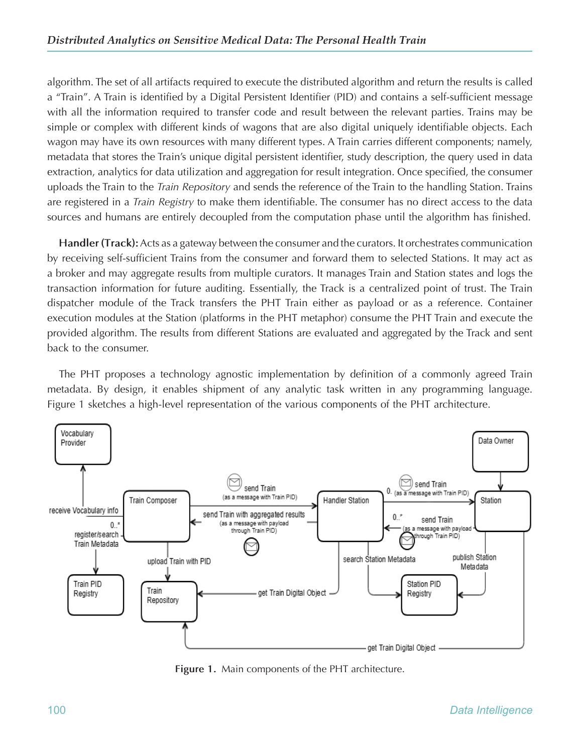algorithm. The set of all artifacts required to execute the distributed algorithm and return the results is called a "Train". A Train is identified by a Digital Persistent Identifier (PID) and contains a self-sufficient message with all the information required to transfer code and result between the relevant parties. Trains may be simple or complex with different kinds of wagons that are also digital uniquely identifiable objects. Each wagon may have its own resources with many different types. A Train carries different components; namely, metadata that stores the Train's unique digital persistent identifier, study description, the query used in data extraction, analytics for data utilization and aggregation for result integration. Once specified, the consumer uploads the Train to the *Train Repository* and sends the reference of the Train to the handling Station. Trains are registered in a *Train Registry* to make them identifiable. The consumer has no direct access to the data sources and humans are entirely decoupled from the computation phase until the algorithm has finished.

**Handler (Track):** Acts as a gateway between the consumer and the curators. It orchestrates communication by receiving self-sufficient Trains from the consumer and forward them to selected Stations. It may act as a broker and may aggregate results from multiple curators. It manages Train and Station states and logs the transaction information for future auditing. Essentially, the Track is a centralized point of trust. The Train dispatcher module of the Track transfers the PHT Train either as payload or as a reference. Container execution modules at the Station (platforms in the PHT metaphor) consume the PHT Train and execute the provided algorithm. The results from different Stations are evaluated and aggregated by the Track and sent back to the consumer.

The PHT proposes a technology agnostic implementation by definition of a commonly agreed Train metadata. By design, it enables shipment of any analytic task written in any programming language. Figure 1 sketches a high-level representation of the various components of the PHT architecture.



**Figure 1.** Main components of the PHT architecture.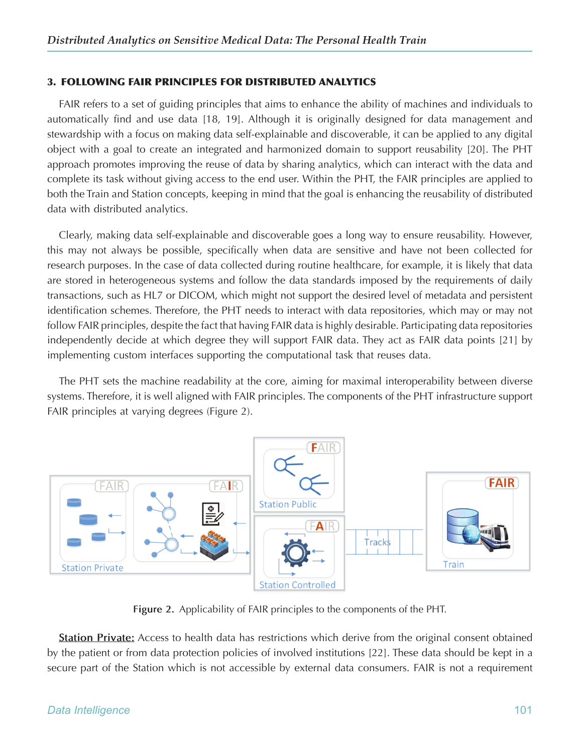#### 3. FOLLOWING FAIR PRINCIPLES FOR DISTRIBUTED ANALYTICS

FAIR refers to a set of guiding principles that aims to enhance the ability of machines and individuals to automatically find and use data [18, 19]. Although it is originally designed for data management and stewardship with a focus on making data self-explainable and discoverable, it can be applied to any digital object with a goal to create an integrated and harmonized domain to support reusability [20]. The PHT approach promotes improving the reuse of data by sharing analytics, which can interact with the data and complete its task without giving access to the end user. Within the PHT, the FAIR principles are applied to both the Train and Station concepts, keeping in mind that the goal is enhancing the reusability of distributed data with distributed analytics.

Clearly, making data self-explainable and discoverable goes a long way to ensure reusability. However, this may not always be possible, specifically when data are sensitive and have not been collected for research purposes. In the case of data collected during routine healthcare, for example, it is likely that data are stored in heterogeneous systems and follow the data standards imposed by the requirements of daily transactions, such as HL7 or DICOM, which might not support the desired level of metadata and persistent identification schemes. Therefore, the PHT needs to interact with data repositories, which may or may not follow FAIR principles, despite the fact that having FAIR data is highly desirable. Participating data repositories independently decide at which degree they will support FAIR data. They act as FAIR data points [21] by implementing custom interfaces supporting the computational task that reuses data.

The PHT sets the machine readability at the core, aiming for maximal interoperability between diverse systems. Therefore, it is well aligned with FAIR principles. The components of the PHT infrastructure support FAIR principles at varying degrees (Figure 2).



**Figure 2.** Applicability of FAIR principles to the components of the PHT.

**Station Private:** Access to health data has restrictions which derive from the original consent obtained by the patient or from data protection policies of involved institutions [22]. These data should be kept in a secure part of the Station which is not accessible by external data consumers. FAIR is not a requirement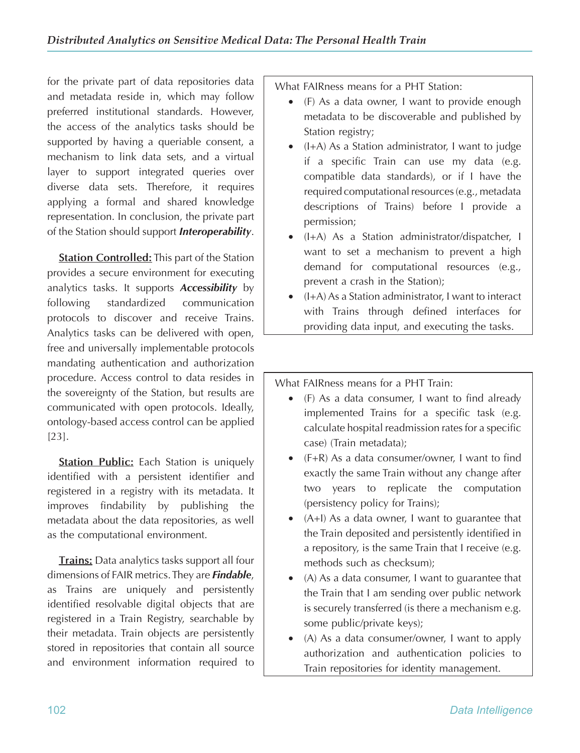for the private part of data repositories data and metadata reside in, which may follow preferred institutional standards. However, the access of the analytics tasks should be supported by having a queriable consent, a mechanism to link data sets, and a virtual layer to support integrated queries over diverse data sets. Therefore, it requires applying a formal and shared knowledge representation. In conclusion, the private part of the Station should support *Interoperability*.

**Station Controlled:** This part of the Station provides a secure environment for executing analytics tasks. It supports *Accessibility* by following standardized communication protocols to discover and receive Trains. Analytics tasks can be delivered with open, free and universally implementable protocols mandating authentication and authorization procedure. Access control to data resides in the sovereignty of the Station, but results are communicated with open protocols. Ideally, ontology-based access control can be applied [23].

**Station Public:** Each Station is uniquely identified with a persistent identifier and registered in a registry with its metadata. It improves findability by publishing the metadata about the data repositories, as well as the computational environment.

**Trains:** Data analytics tasks support all four dimensions of FAIR metrics. They are *Findable*, as Trains are uniquely and persistently identified resolvable digital objects that are registered in a Train Registry, searchable by their metadata. Train objects are persistently stored in repositories that contain all source and environment information required to

What FAIRness means for a PHT Station:

- · [\(F\)](https://w3id.org/fair/principles/terms/F) As a data owner, I want to provide enough metadata to be discoverable and published by Station registry;
- · [\(I](https://w3id.org/fair/principles/terms/I)[+A\)](https://w3id.org/fair/principles/terms/A) As a Station administrator, I want to judge if a specific Train can use my data (e.g. compatible data standards), or if I have the required computational resources (e.g., metadata descriptions of Trains) before I provide a permission;
- · [\(I](https://w3id.org/fair/principles/terms/I)[+A\)](https://w3id.org/fair/principles/terms/A) As a Station administrator/dispatcher, I want to set a mechanism to prevent a high demand for computational resources (e.g., prevent a crash in the Station);
- $\bullet$  [\(I](https://w3id.org/fair/principles/terms/I)[+A\)](https://w3id.org/fair/principles/terms/A) As a Station administrator, I want to interact with Trains through defined interfaces for providing data input, and executing the tasks.

What FAIRness means for a PHT Train:

- · [\(F\)](https://w3id.org/fair/principles/terms/F) As a data consumer, I want to find already implemented Trains for a specific task (e.g. calculate hospital readmission rates for a specific case) (Train metadata);
- $\bullet$  [\(F+](https://w3id.org/fair/principles/terms/F)[R](https://w3id.org/fair/principles/terms/R)) As a data consumer/owner, I want to find exactly the same Train without any change after two years to replicate the computation (persistency policy for Trains);
- $\bullet$  [\(A](https://w3id.org/fair/principles/terms/A)[+I\)](https://w3id.org/fair/principles/terms/I) As a data owner, I want to guarantee that the Train deposited and persistently identified in a repository, is the same Train that I receive (e.g. methods such as checksum);
- · [\(A](https://w3id.org/fair/principles/terms/A)) As a data consumer, I want to guarantee that the Train that I am sending over public network is securely transferred (is there a mechanism e.g. some public/private keys);
- · [\(A](https://w3id.org/fair/principles/terms/A)) As a data consumer/owner, I want to apply authorization and authentication policies to Train repositories for identity management.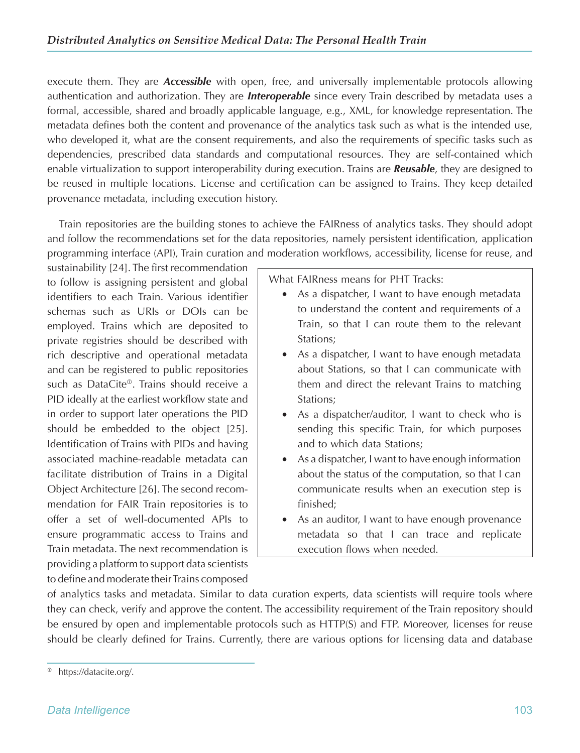execute them. They are *Accessible* with open, free, and universally implementable protocols allowing authentication and authorization. They are *Interoperable* since every Train described by metadata uses a formal, accessible, shared and broadly applicable language, e.g., XML, for knowledge representation. The metadata defines both the content and provenance of the analytics task such as what is the intended use, who developed it, what are the consent requirements, and also the requirements of specific tasks such as dependencies, prescribed data standards and computational resources. They are self-contained which enable virtualization to support interoperability during execution. Trains are *Reusable*, they are designed to be reused in multiple locations. License and certification can be assigned to Trains. They keep detailed provenance metadata, including execution history.

Train repositories are the building stones to achieve the FAIRness of analytics tasks. They should adopt and follow the recommendations set for the data repositories, namely persistent identification, application programming interface (API), Train curation and moderation workflows, accessibility, license for reuse, and

sustainability [24]. The first recommendation to follow is assigning persistent and global identifiers to each Train. Various identifier schemas such as URIs or DOIs can be employed. Trains which are deposited to private registries should be described with rich descriptive and operational metadata and can be registered to public repositories such as DataCite<sup>®</sup>. Trains should receive a PID ideally at the earliest workflow state and in order to support later operations the PID should be embedded to the object [25]. Identification of Trains with PIDs and having associated machine-readable metadata can facilitate distribution of Trains in a Digital Object Architecture [26]. The second recommendation for FAIR Train repositories is to offer a set of well-documented APIs to ensure programmatic access to Trains and Train metadata. The next recommendation is providing a platform to support data scientists to define and moderate their Trains composed

What FAIRness means for PHT Tracks:

- As a dispatcher, I want to have enough metadata to understand the content and requirements of a Train, so that I can route them to the relevant Stations;
- As a dispatcher, I want to have enough metadata about Stations, so that I can communicate with them and direct the relevant Trains to matching Stations;
- As a dispatcher/auditor, I want to check who is sending this specific Train, for which purposes and to which data Stations;
- · As a dispatcher, I want to have enough information about the status of the computation, so that I can communicate results when an execution step is finished;
- As an auditor, I want to have enough provenance metadata so that I can trace and replicate execution flows when needed.

of analytics tasks and metadata. Similar to data curation experts, data scientists will require tools where they can check, verify and approve the content. The accessibility requirement of the Train repository should be ensured by open and implementable protocols such as HTTP(S) and FTP. Moreover, licenses for reuse should be clearly defined for Trains. Currently, there are various options for licensing data and database

<https://datacite.org/>.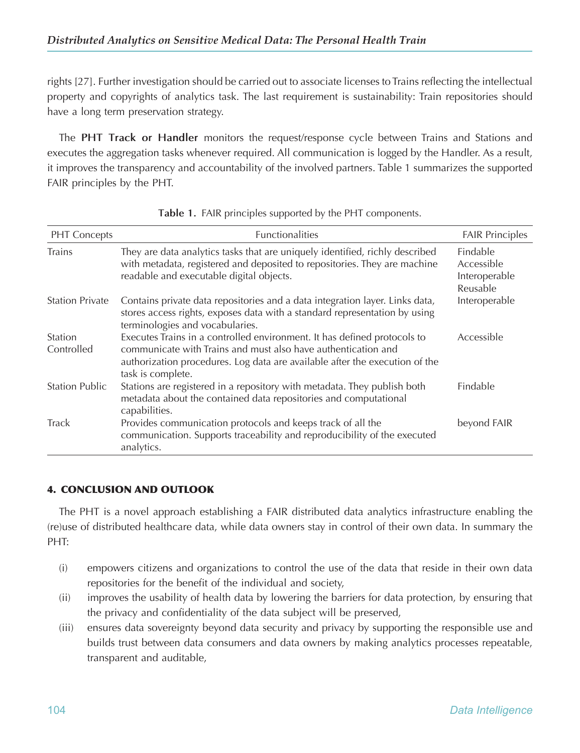rights [27]. Further investigation should be carried out to associate licenses to Trains reflecting the intellectual property and copyrights of analytics task. The last requirement is sustainability: Train repositories should have a long term preservation strategy.

The **PHT Track or Handler** monitors the request/response cycle between Trains and Stations and executes the aggregation tasks whenever required. All communication is logged by the Handler. As a result, it improves the transparency and accountability of the involved partners. Table 1 summarizes the supported FAIR principles by the PHT.

| <b>PHT Concepts</b>    | <b>Functionalities</b>                                                                                                                                                                                                                        | <b>FAIR Principles</b>                              |
|------------------------|-----------------------------------------------------------------------------------------------------------------------------------------------------------------------------------------------------------------------------------------------|-----------------------------------------------------|
| <b>Trains</b>          | They are data analytics tasks that are uniquely identified, richly described<br>with metadata, registered and deposited to repositories. They are machine<br>readable and executable digital objects.                                         | Findable<br>Accessible<br>Interoperable<br>Reusable |
| <b>Station Private</b> | Contains private data repositories and a data integration layer. Links data,<br>stores access rights, exposes data with a standard representation by using<br>terminologies and vocabularies.                                                 | Interoperable                                       |
| Station<br>Controlled  | Executes Trains in a controlled environment. It has defined protocols to<br>communicate with Trains and must also have authentication and<br>authorization procedures. Log data are available after the execution of the<br>task is complete. | Accessible                                          |
| <b>Station Public</b>  | Stations are registered in a repository with metadata. They publish both<br>metadata about the contained data repositories and computational<br>capabilities.                                                                                 | Findable                                            |
| <b>Track</b>           | Provides communication protocols and keeps track of all the<br>communication. Supports traceability and reproducibility of the executed<br>analytics.                                                                                         | beyond FAIR                                         |

|  |  |  |  |  | Table 1. FAIR principles supported by the PHT components. |
|--|--|--|--|--|-----------------------------------------------------------|
|--|--|--|--|--|-----------------------------------------------------------|

## 4. CONCLUSION AND OUTLOOK

The PHT is a novel approach establishing a FAIR distributed data analytics infrastructure enabling the (re)use of distributed healthcare data, while data owners stay in control of their own data. In summary the PHT:

- (i) empowers citizens and organizations to control the use of the data that reside in their own data repositories for the benefit of the individual and society,
- (ii) improves the usability of health data by lowering the barriers for data protection, by ensuring that the privacy and confidentiality of the data subject will be preserved,
- (iii) ensures data sovereignty beyond data security and privacy by supporting the responsible use and builds trust between data consumers and data owners by making analytics processes repeatable, transparent and auditable,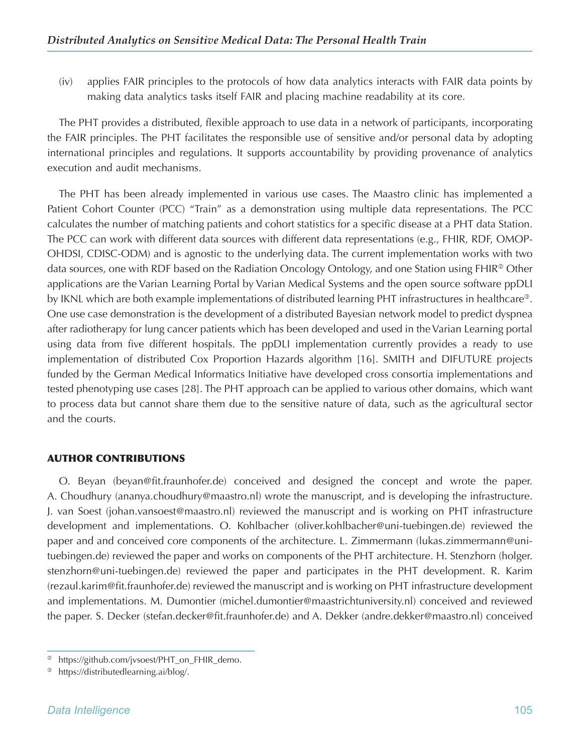(iv) applies FAIR principles to the protocols of how data analytics interacts with FAIR data points by making data analytics tasks itself FAIR and placing machine readability at its core.

The PHT provides a distributed, flexible approach to use data in a network of participants, incorporating the FAIR principles. The PHT facilitates the responsible use of sensitive and/or personal data by adopting international principles and regulations. It supports accountability by providing provenance of analytics execution and audit mechanisms.

The PHT has been already implemented in various use cases. The Maastro clinic has implemented a Patient Cohort Counter (PCC) "Train" as a demonstration using multiple data representations. The PCC calculates the number of matching patients and cohort statistics for a specific disease at a PHT data Station. The PCC can work with different data sources with different data representations (e.g., FHIR, RDF, OMOP-OHDSI, CDISC-ODM) and is agnostic to the underlying data. The current implementation works with two data sources, one with RDF based on the Radiation Oncology Ontology, and one Station using FHIR<sup>®</sup> Other applications are the Varian Learning Portal by Varian Medical Systems and the open source software ppDLI by IKNL which are both example implementations of distributed learning PHT infrastructures in healthcare<sup>®</sup>. One use case demonstration is the development of a distributed Bayesian network model to predict dyspnea after radiotherapy for lung cancer patients which has been developed and used in the Varian Learning portal using data from five different hospitals. The ppDLI implementation currently provides a ready to use implementation of distributed Cox Proportion Hazards algorithm [16]. SMITH and DIFUTURE projects funded by the German Medical Informatics Initiative have developed cross consortia implementations and tested phenotyping use cases [28]. The PHT approach can be applied to various other domains, which want to process data but cannot share them due to the sensitive nature of data, such as the agricultural sector and the courts.

## AUTHOR CONTRIBUTIONS

O. Beyan (beyan@fit.fraunhofer.de) conceived and designed the concept and wrote the paper. A. Choudhury (ananya.choudhury@maastro.nl) wrote the manuscript, and is developing the infrastructure. J. van Soest (johan.vansoest@maastro.nl) reviewed the manuscript and is working on PHT infrastructure development and implementations. O. Kohlbacher (oliver.kohlbacher@uni-tuebingen.de) reviewed the paper and and conceived core components of the architecture. L. Zimmermann (lukas.zimmermann@unituebingen.de) reviewed the paper and works on components of the PHT architecture. H. Stenzhorn (holger. stenzhorn@uni-tuebingen.de) reviewed the paper and participates in the PHT development. R. Karim (rezaul.karim@fit.fraunhofer.de) reviewed the manuscript and is working on PHT infrastructure development and implementations. M. Dumontier (michel.dumontier@maastrichtuniversity.nl) conceived and reviewed the paper. S. Decker (stefan.decker@fit.fraunhofer.de) and A. Dekker (andre.dekker@maastro.nl) conceived

https://github.com/jvsoest/PHT\_on\_FHIR\_demo.

https://distributedlearning.ai/blog/.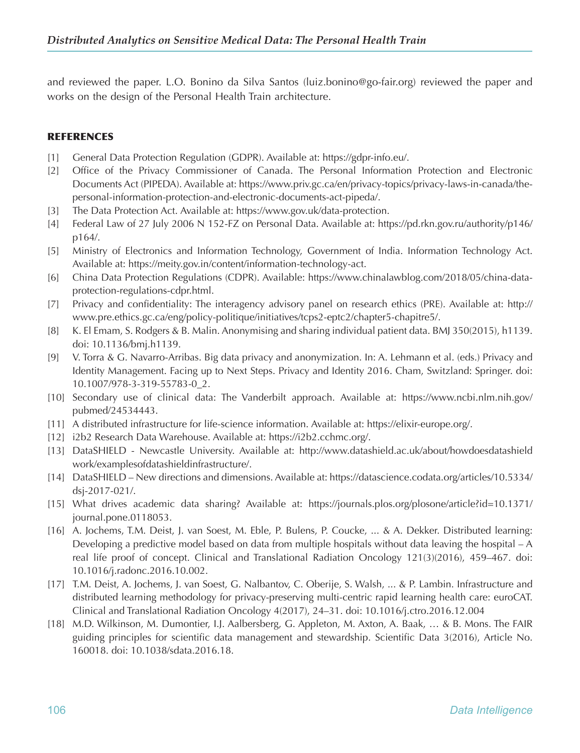and reviewed the paper. L.O. Bonino da Silva Santos (luiz.bonino@go-fair.org) reviewed the paper and works on the design of the Personal Health Train architecture.

## **REFERENCES**

- [1] General Data Protection Regulation (GDPR). Available at: https://gdpr-info.eu/.
- [2] Office of the Privacy Commissioner of Canada. The Personal Information Protection and Electronic Documents Act (PIPEDA). Available at: [https://www.priv.gc.ca/en/privacy-topics/privacy-laws-in-canada/the](https://www.priv.gc.ca/en/privacy-topics/privacy-laws-in-canada/the-personal-information-protection-and-electronic-documents-act-pipeda/)[personal-information-protection-and-electronic-documents-act-pipeda/.](https://www.priv.gc.ca/en/privacy-topics/privacy-laws-in-canada/the-personal-information-protection-and-electronic-documents-act-pipeda/)
- [3] The Data Protection Act. Available at: https://www.gov.uk/data-protection.
- [4] Federal Law of 27 July 2006 N 152-FZ on Personal Data. Available at: [https://pd.rkn.gov.ru/authority/p146/](https://pd.rkn.gov.ru/authority/p146/p164/) [p164/.](https://pd.rkn.gov.ru/authority/p146/p164/)
- [5] Ministry of Electronics and Information Technology, Government of India. Information Technology Act. Available at: https://meity.gov.in/content/information-technology-act.
- [6] China Data Protection Regulations (CDPR). Available: [https://www.chinalawblog.com/2018/05/china-data](https://www.chinalawblog.com/2018/05/china-data-protection-regulations-cdpr.html)[protection-regulations-cdpr.html](https://www.chinalawblog.com/2018/05/china-data-protection-regulations-cdpr.html).
- [7] Privacy and confidentiality: The interagency advisory panel on research ethics (PRE). Available at: [http://](http://www.pre.ethics.gc.ca/eng/policy-politique/initiatives/tcps2-eptc2/chapter5-chapitre5/) [www.pre.ethics.gc.ca/eng/policy-politique/initiatives/tcps2-eptc2/chapter5-chapitre5/.](http://www.pre.ethics.gc.ca/eng/policy-politique/initiatives/tcps2-eptc2/chapter5-chapitre5/)
- [8] K. El Emam, S. Rodgers & B. Malin. Anonymising and sharing individual patient data. BMJ 350(2015), h1139. doi: 10.1136/bmj.h1139.
- [9] V. Torra & G. Navarro-Arribas. Big data privacy and anonymization. In: A. Lehmann et al. (eds.) Privacy and Identity Management. Facing up to Next Steps. Privacy and Identity 2016. Cham, Switzland: Springer. doi: 10.1007/978-3-319-55783-0\_2.
- [10] Secondary use of clinical data: The Vanderbilt approach. Available at: [https://www.ncbi.nlm.nih.gov/](https://www.ncbi.nlm.nih.gov/pubmed/24534443) [pubmed/24534443.](https://www.ncbi.nlm.nih.gov/pubmed/24534443)
- [11] A distributed infrastructure for life-science information. Available at: https://elixir-europe.org/.
- [12] i2b2 Research Data Warehouse. Available at: https://i2b2.cchmc.org/.
- [13] DataSHIELD Newcastle University. Available at: [http://www.datashield.ac.uk/about/howdoesdatashield](http://www.datashield.ac.uk/about/howdoesdatashieldwork/examplesofdatashieldinfrastructure/) [work/examplesofdatashieldinfrastructure/](http://www.datashield.ac.uk/about/howdoesdatashieldwork/examplesofdatashieldinfrastructure/).
- [14] DataSHIELD New directions and dimensions. Available at: [https://datascience.codata.org/articles/10.5334/](https://datascience.codata.org/articles/10.5334/dsj-2017-021/) [dsj-2017-021/.](https://datascience.codata.org/articles/10.5334/dsj-2017-021/)
- [15] What drives academic data sharing? Available at: [https://journals.plos.org/plosone/article?id=10.1371/](https://journals.plos.org/plosone/article?id=10.1371/journal.pone.0118053) [journal.pone.0118053](https://journals.plos.org/plosone/article?id=10.1371/journal.pone.0118053).
- [16] A. Jochems, T.M. Deist, J. van Soest, M. Eble, P. Bulens, P. Coucke, ... & A. Dekker. Distributed learning: Developing a predictive model based on data from multiple hospitals without data leaving the hospital – A real life proof of concept. Clinical and Translational Radiation Oncology 121(3)(2016), 459–467. doi: 10.1016/j.radonc.2016.10.002.
- [17] T.M. Deist, A. Jochems, J. van Soest, G. Nalbantov, C. Oberije, S. Walsh, ... & P. Lambin. Infrastructure and distributed learning methodology for privacy-preserving multi-centric rapid learning health care: euroCAT. Clinical and Translational Radiation Oncology 4(2017), 24–31. doi: 10.1016/j.ctro.2016.12.004
- [18] M.D. Wilkinson, M. Dumontier, I.J. Aalbersberg, G. Appleton, M. Axton, A. Baak, … & B. Mons. The FAIR guiding principles for scientific data management and stewardship. Scientific Data 3(2016), Article No. 160018. doi: 10.1038/sdata.2016.18.